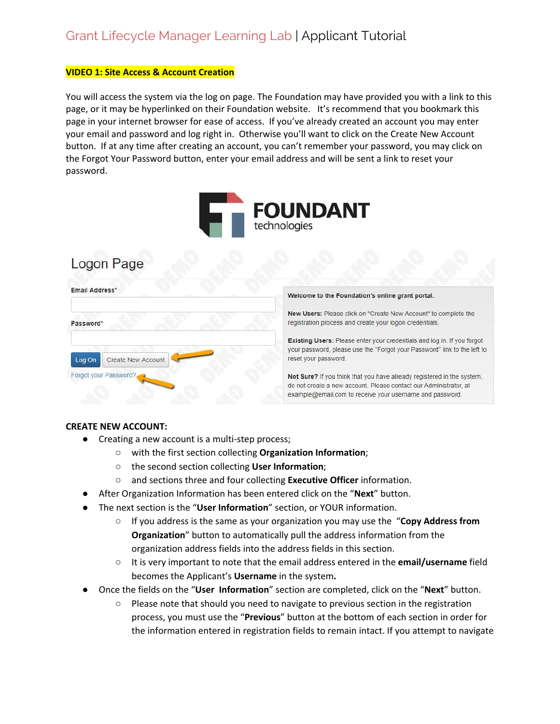#### **VIDEO 1: Site Access & Account Creation**

You will access the system via the log on page. The Foundation may have provided you with a link to this page, or it may be hyperlinked on their Foundation website. It's recommend that you bookmark this page in your internet browser for ease of access. If you've already created an account you may enter your email and password and log right in. Otherwise you'll want to click on the Create New Account button. If at any time after creating an account, you can't remember your password, you may click on the Forgot Your Password button, enter your email address and will be sent a link to reset your password.



# Logon Page

| Email Address*               | Welcome to the Foundation's online grant portal.                                                                                                                                                        |
|------------------------------|---------------------------------------------------------------------------------------------------------------------------------------------------------------------------------------------------------|
| Password*                    | <b>New Users:</b> Please click on "Create New Account" to complete the<br>registration process and create your logon credentials.                                                                       |
| Log On<br>Create New Account | Existing Users: Please enter your credentials and log in. If you forgot<br>your password, please use the "Forgot your Password" link to the left to<br>reset your password.                             |
| Forgot your Password?        | Not Sure? If you think that you have already registered in the system.<br>do not create a new account. Please contact our Administrator, at<br>example@email.com to receive your username and password. |

### **CREATE NEW ACCOUNT:**

- Creating a new account is a multi-step process;
	- with the first section collecting **Organization Information**;
	- the second section collecting **User Information**;
	- and sections three and four collecting **Executive Officer** information.
	- After Organization Information has been entered click on the "**Next**" button.
- The next section is the "**User Information**" section, or YOUR information.
	- If you address is the same as your organization you may use the "**Copy Address from Organization**" button to automatically pull the address information from the organization address fields into the address fields in this section.
	- It is very important to note that the email address entered in the **email/username** field becomes the Applicant's **Username** in the system**.**
- Once the fields on the "**User Information**" section are completed, click on the "**Next**" button.
	- Please note that should you need to navigate to previous section in the registration process, you must use the "**Previous**" button at the bottom of each section in order for the information entered in registration fields to remain intact. If you attempt to navigate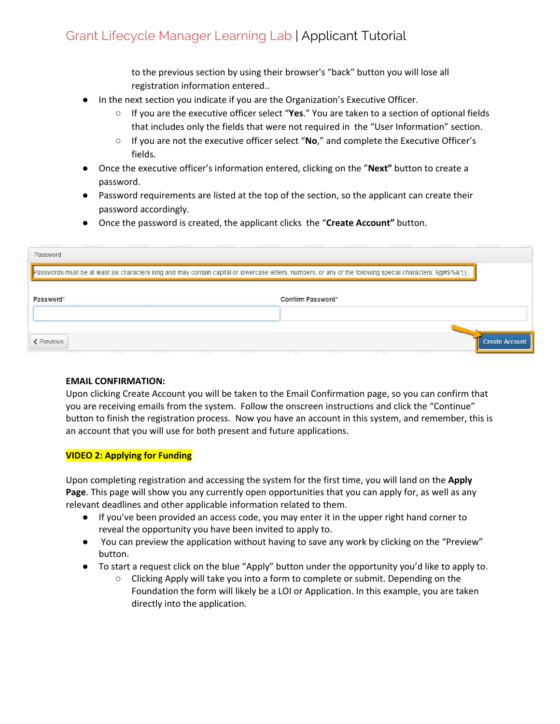to the previous section by using their browser's "back" button you will lose all registration information entered..

- In the next section you indicate if you are the Organization's Executive Officer.
	- If you are the executive officer select "Yes." You are taken to a section of optional fields that includes only the fields that were not required in the "User Information" section.
	- If you are not the executive officer select "**No**," and complete the Executive Officer's fields.
- Once the executive officer's information entered, clicking on the "**Next"** button to create a password.
- Password requirements are listed at the top of the section, so the applicant can create their password accordingly.
- Once the password is created, the applicant clicks the "**Create Account"** button.

| Password                                                                                                                                                                 |                                                                                                           |
|--------------------------------------------------------------------------------------------------------------------------------------------------------------------------|-----------------------------------------------------------------------------------------------------------|
| Passwords must be at least six characters long and may contain capital or lowercase letters, numbers, or any of the following special characters: $\frac{1}{Q}$ #\$%&*() |                                                                                                           |
| Password*                                                                                                                                                                | Confirm Password*                                                                                         |
| <b>≮</b> Previous<br><b>CONTRACTOR</b><br><b>The Contract</b><br><b>CONTRACTOR</b><br><b>CONTRACTOR</b><br><b>CONTRACTOR</b>                                             | <b>Create Account</b><br><b>STATISTICS</b><br><b>CONTRACTOR</b><br><b>Contractor</b><br><b>Contractor</b> |

### **EMAIL CONFIRMATION:**

Upon clicking Create Account you will be taken to the Email Confirmation page, so you can confirm that you are receiving emails from the system. Follow the onscreen instructions and click the "Continue" button to finish the registration process. Now you have an account in this system, and remember, this is an account that you will use for both present and future applications.

### **VIDEO 2: Applying for Funding**

Upon completing registration and accessing the system for the first time, you will land on the **Apply Page**. This page will show you any currently open opportunities that you can apply for, as well as any relevant deadlines and other applicable information related to them.

- If you've been provided an access code, you may enter it in the upper right hand corner to reveal the opportunity you have been invited to apply to.
- You can preview the application without having to save any work by clicking on the "Preview" button.
- To start a request click on the blue "Apply" button under the opportunity you'd like to apply to.
	- Clicking Apply will take you into a form to complete or submit. Depending on the Foundation the form will likely be a LOI or Application. In this example, you are taken directly into the application.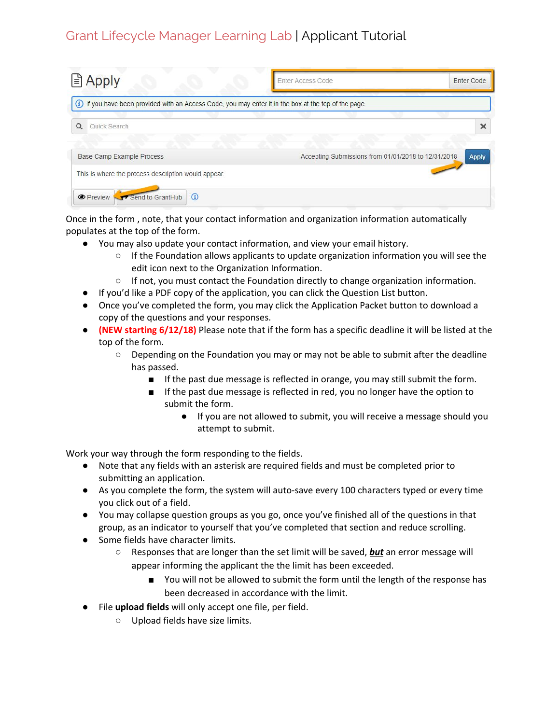| $\triangle$ Apply                                                                                      | <b>Enter Access Code</b>                            | Enter Code   |
|--------------------------------------------------------------------------------------------------------|-----------------------------------------------------|--------------|
| (i) If you have been provided with an Access Code, you may enter it in the box at the top of the page. |                                                     |              |
| $\Omega$<br>Quick Search                                                                               |                                                     | ×            |
| Base Camp Example Process                                                                              | Accepting Submissions from 01/01/2018 to 12/31/2018 | <b>Apply</b> |
| This is where the process description would appear.                                                    |                                                     |              |
| Send to GrantHub<br>$\odot$<br><b>O</b> Preview                                                        |                                                     |              |

Once in the form , note, that your contact information and organization information automatically populates at the top of the form.

- You may also update your contact information, and view your email history.
	- If the Foundation allows applicants to update organization information you will see the edit icon next to the Organization Information.
	- If not, you must contact the Foundation directly to change organization information.
- If you'd like a PDF copy of the application, you can click the Question List button.
- Once you've completed the form, you may click the Application Packet button to download a copy of the questions and your responses.
- **(NEW starting 6/12/18)** Please note that if the form has a specific deadline it will be listed at the top of the form.
	- Depending on the Foundation you may or may not be able to submit after the deadline has passed.
		- If the past due message is reflected in orange, you may still submit the form.
		- If the past due message is reflected in red, you no longer have the option to submit the form.
			- If you are not allowed to submit, you will receive a message should you attempt to submit.

Work your way through the form responding to the fields.

- Note that any fields with an asterisk are required fields and must be completed prior to submitting an application.
- As you complete the form, the system will auto-save every 100 characters typed or every time you click out of a field.
- You may collapse question groups as you go, once you've finished all of the questions in that group, as an indicator to yourself that you've completed that section and reduce scrolling.
- Some fields have character limits.
	- **O** Responses that are longer than the set limit will be saved, **but** an error message will appear informing the applicant the the limit has been exceeded.
		- You will not be allowed to submit the form until the length of the response has been decreased in accordance with the limit.
- File **upload fields** will only accept one file, per field.
	- Upload fields have size limits.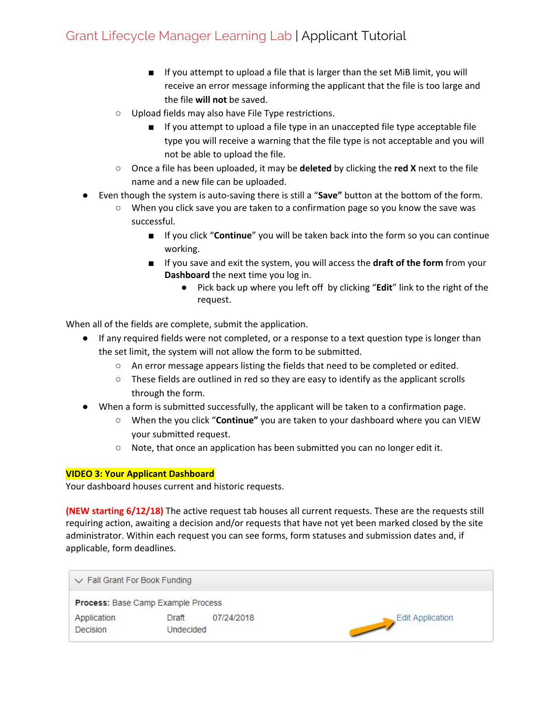- If you attempt to upload a file that is larger than the set MiB limit, you will receive an error message informing the applicant that the file is too large and the file **will not** be saved.
- Upload fields may also have File Type restrictions.
	- If you attempt to upload a file type in an unaccepted file type acceptable file type you will receive a warning that the file type is not acceptable and you will not be able to upload the file.
- Once a file has been uploaded, it may be **deleted** by clicking the **red X** next to the file name and a new file can be uploaded.
- Even though the system is auto-saving there is still a "**Save"** button at the bottom of the form.
	- When you click save you are taken to a confirmation page so you know the save was successful.
		- If you click "**Continue**" you will be taken back into the form so you can continue working.
		- If you save and exit the system, you will access the **draft of the form** from your **Dashboard** the next time you log in.
			- Pick back up where you left off by clicking "**Edit**" link to the right of the request.

When all of the fields are complete, submit the application.

- If any required fields were not completed, or a response to a text question type is longer than the set limit, the system will not allow the form to be submitted.
	- An error message appears listing the fields that need to be completed or edited.
	- $\circ$  These fields are outlined in red so they are easy to identify as the applicant scrolls through the form.
- When a form is submitted successfully, the applicant will be taken to a confirmation page.
	- When the you click "**Continue"** you are taken to your dashboard where you can VIEW your submitted request.
	- Note, that once an application has been submitted you can no longer edit it.

### **VIDEO 3: Your Applicant Dashboard**

Your dashboard houses current and historic requests.

**(NEW starting 6/12/18)** The active request tab houses all current requests. These are the requests still requiring action, awaiting a decision and/or requests that have not yet been marked closed by the site administrator. Within each request you can see forms, form statuses and submission dates and, if applicable, form deadlines.

| $\vee$ Fall Grant For Book Funding |           |            |                         |
|------------------------------------|-----------|------------|-------------------------|
| Process: Base Camp Example Process |           |            |                         |
| Application                        | Draft     | 07/24/2018 | <b>Edit Application</b> |
| <b>Decision</b>                    | Undecided |            |                         |